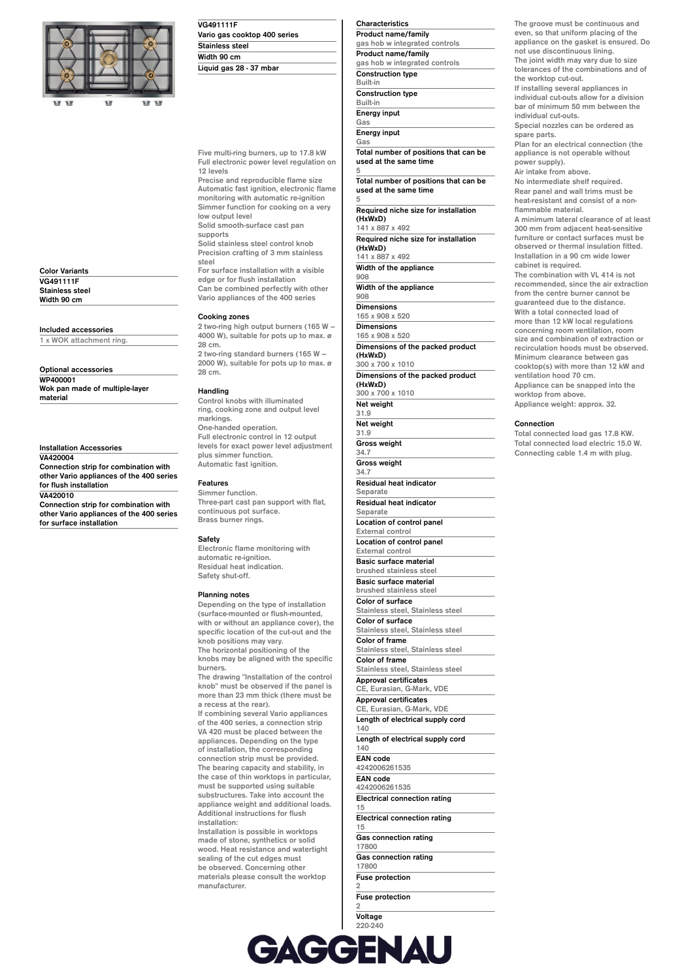

| <b>Color Variants</b>  |  |
|------------------------|--|
| <b>VG491111F</b>       |  |
| <b>Stainless steel</b> |  |
| Width 90 cm            |  |

## **Included accessories**

**1 x WOK attachment ring.**

**Optional accessories WP400001 Wok pan made of multiple-layer material**

**Installation Accessories VA420004 Connection strip for combination with other Vario appliances of the 400 series for flush installation VA420010 Connection strip for combination with**

**other Vario appliances of the 400 series for surface installation**

**VG491111F Vario gas cooktop 400 series Stainless steel Width 90 cm Liquid gas 28 - 37 mbar**

**Five multi-ring burners, up to 17.8 kW Full electronic power level regulation on 12 levels**

**Precise and reproducible flame size Automatic fast ignition, electronic flame monitoring with automatic re-ignition Simmer function for cooking on a very low output level Solid smooth-surface cast pan**

**supports Solid stainless steel control knob**

**Precision crafting of 3 mm stainless steel For surface installation with a visible edge or for flush installation**

**Can be combined perfectly with other Vario appliances of the 400 series**

#### **Cooking zones**

**2 two-ring high output burners (165 W – 4000 W), suitable for pots up to max. ø 28 cm. 2 two-ring standard burners (165 W – 2000 W), suitable for pots up to max. ø**

# **28 cm. Handling**

**Control knobs with illuminated ring, cooking zone and output level markings. One-handed operation. Full electronic control in 12 output levels for exact power level adjustment plus simmer function. Automatic fast ignition.**

#### **Features**

**Simmer function. Three-part cast pan support with flat, continuous pot surface. Brass burner rings.**

#### **Safety**

**Electronic flame monitoring with automatic re-ignition. Residual heat indication. Safety shut-off.**

#### **Planning notes**

**Depending on the type of installation (surface-mounted or flush-mounted, with or without an appliance cover), the specific location of the cut-out and the knob positions may vary. The horizontal positioning of the knobs may be aligned with the specific burners. The drawing "Installation of the control knob" must be observed if the panel is**

**more than 23 mm thick (there must be a recess at the rear).**

**If combining several Vario appliances of the 400 series, a connection strip VA 420 must be placed between the appliances. Depending on the type of installation, the corresponding connection strip must be provided. The bearing capacity and stability, in the case of thin worktops in particular, must be supported using suitable substructures. Take into account the appliance weight and additional loads. Additional instructions for flush installation:**

**Installation is possible in worktops made of stone, synthetics or solid wood. Heat resistance and watertight sealing of the cut edges must be observed. Concerning other materials please consult the worktop manufacturer.**

**Characteristics Product name/family gas hob w integrated controls Product name/family gas hob w integrated controls Construction type Built-in Construction type Built-in Energy input Gas**

**Energy input Gas**

**Total number of positions that can be used at the same time 5**

**Total number of positions that can be used at the same time 5**

**Required niche size for installation (HxWxD) 141 x 887 x 492**

**Required niche size for installation (HxWxD) 141 x 887 x 492**

**Width of the appliance 908**

**Width of the appliance 908**

**Dimensions**

**31.9**

**31.9**

**34.7**

**34.7**

**140**

**140**

**165 x 908 x 520 Dimensions 165 x 908 x 520 Dimensions of the packed product (HxWxD)**

**300 x 700 x 1010 Dimensions of the packed product**

**(HxWxD) 300 x 700 x 1010**

**Net weight**

# **Net weight Gross weight Gross weight**

**Residual heat indicator Separate Residual heat indicator Separate Location of control panel External control Location of control panel External control Basic surface material brushed stainless steel Basic surface material brushed stainless steel Color of surface Stainless steel, Stainless steel Color of surface Stainless steel, Stainless steel Color of frame Stainless steel, Stainless steel Color of frame Stainless steel, Stainless steel Approval certificates CE, Eurasian, G-Mark, VDE Approval certificates CE, Eurasian, G-Mark, VDE Length of electrical supply cord Length of electrical supply cord EAN code 4242006261535**

**EAN code 4242006261535 Electrical connection rating 15**

**Electrical connection rating**

**15 Gas connection rating 17800 Gas connection rating**

**17800 Fuse protection 2**

**Fuse protection 2**

**Voltage 220-240** **The groove must be continuous and even, so that uniform placing of the appliance on the gasket is ensured. Do not use discontinuous lining. The joint width may vary due to size**

**tolerances of the combinations and of the worktop cut-out.**

**If installing several appliances in individual cut-outs allow for a division bar of minimum 50 mm between the individual cut-outs.**

**Special nozzles can be ordered as spare parts.**

**Plan for an electrical connection (the appliance is not operable without power supply).**

**Air intake from above.**

**No intermediate shelf required. Rear panel and wall trims must be heat-resistant and consist of a nonflammable material.**

**A minimum lateral clearance of at least 300 mm from adjacent heat-sensitive furniture or contact surfaces must be observed or thermal insulation fitted. Installation in a 90 cm wide lower cabinet is required.**

**The combination with VL 414 is not recommended, since the air extraction from the centre burner cannot be guaranteed due to the distance. With a total connected load of more than 12 kW local regulations concerning room ventilation, room size and combination of extraction or recirculation hoods must be observed. Minimum clearance between gas**

**cooktop(s) with more than 12 kW and ventilation hood 70 cm.**

**Appliance can be snapped into the worktop from above.**

## **Appliance weight: approx. 32.**

### **Connection**

**Total connected load gas 17.8 KW. Total connected load electric 15.0 W. Connecting cable 1.4 m with plug.**

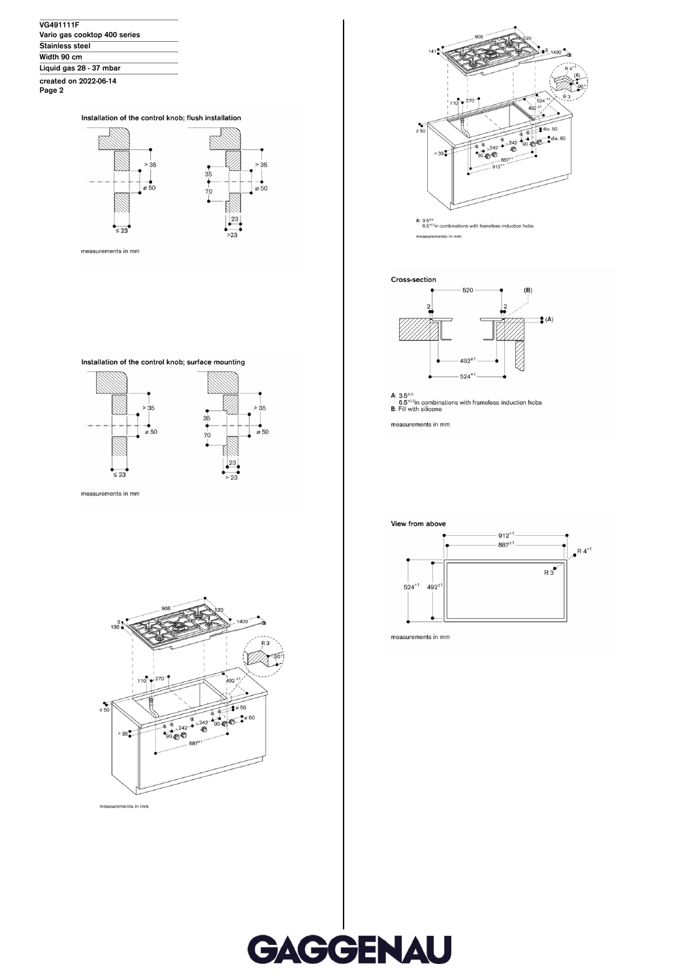| <b>VG491111F</b>             |  |
|------------------------------|--|
| Vario gas cooktop 400 series |  |
| <b>Stainless steel</b>       |  |
| Width 90 cm                  |  |
| Liquid gas 28 - 37 mbar      |  |
| created on 2022-06-14        |  |







measurements in mm







measurements in mm



A:  $3.5^{\circ.5}$ <br>6.5<sup> $\circ$ .5in combinations with frameless induction hobs</sup> measurements in mm



A: 3.5<sup>0.5</sup><br>6.5<sup>-0.8</sup>in combinations with frameless induction hobs<br>**B:** Fill with silicone

measurements in mm